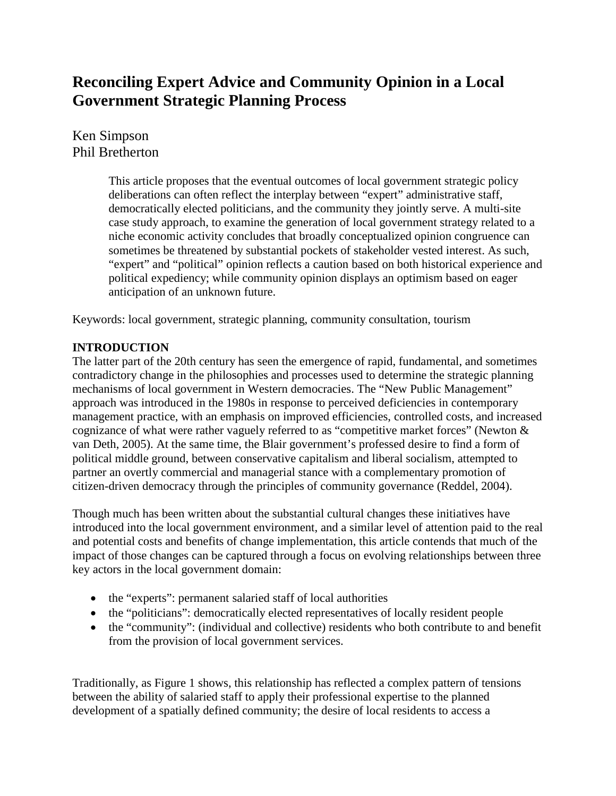# **Reconciling Expert Advice and Community Opinion in a Local Government Strategic Planning Process**

Ken Simpson Phil Bretherton

> This article proposes that the eventual outcomes of local government strategic policy deliberations can often reflect the interplay between "expert" administrative staff, democratically elected politicians, and the community they jointly serve. A multi-site case study approach, to examine the generation of local government strategy related to a niche economic activity concludes that broadly conceptualized opinion congruence can sometimes be threatened by substantial pockets of stakeholder vested interest. As such, "expert" and "political" opinion reflects a caution based on both historical experience and political expediency; while community opinion displays an optimism based on eager anticipation of an unknown future.

Keywords: local government, strategic planning, community consultation, tourism

# **INTRODUCTION**

The latter part of the 20th century has seen the emergence of rapid, fundamental, and sometimes contradictory change in the philosophies and processes used to determine the strategic planning mechanisms of local government in Western democracies. The "New Public Management" approach was introduced in the 1980s in response to perceived deficiencies in contemporary management practice, with an emphasis on improved efficiencies, controlled costs, and increased cognizance of what were rather vaguely referred to as "competitive market forces" (Newton & van Deth, 2005). At the same time, the Blair government's professed desire to find a form of political middle ground, between conservative capitalism and liberal socialism, attempted to partner an overtly commercial and managerial stance with a complementary promotion of citizen-driven democracy through the principles of community governance (Reddel, 2004).

Though much has been written about the substantial cultural changes these initiatives have introduced into the local government environment, and a similar level of attention paid to the real and potential costs and benefits of change implementation, this article contends that much of the impact of those changes can be captured through a focus on evolving relationships between three key actors in the local government domain:

- the "experts": permanent salaried staff of local authorities
- the "politicians": democratically elected representatives of locally resident people
- the "community": (individual and collective) residents who both contribute to and benefit from the provision of local government services.

Traditionally, as Figure 1 shows, this relationship has reflected a complex pattern of tensions between the ability of salaried staff to apply their professional expertise to the planned development of a spatially defined community; the desire of local residents to access a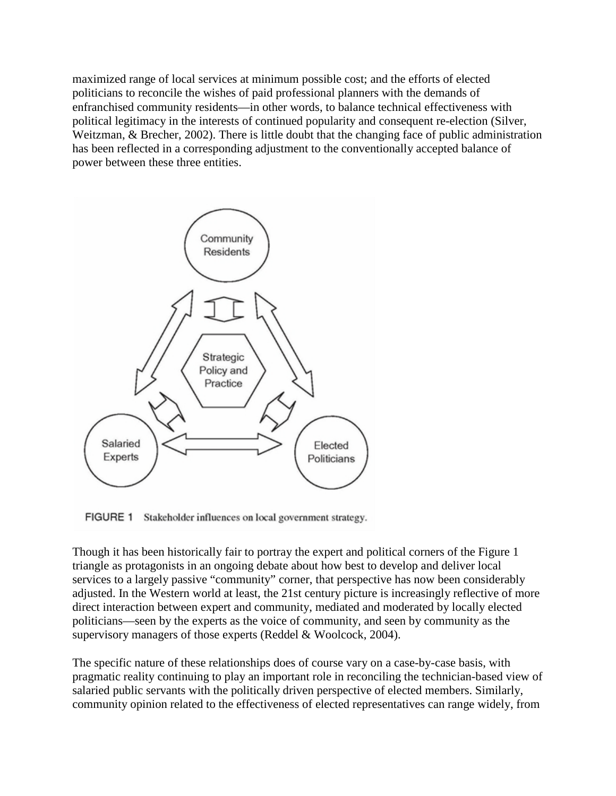maximized range of local services at minimum possible cost; and the efforts of elected politicians to reconcile the wishes of paid professional planners with the demands of enfranchised community residents—in other words, to balance technical effectiveness with political legitimacy in the interests of continued popularity and consequent re-election (Silver, Weitzman, & Brecher, 2002). There is little doubt that the changing face of public administration has been reflected in a corresponding adjustment to the conventionally accepted balance of power between these three entities.



FIGURE 1 Stakeholder influences on local government strategy.

Though it has been historically fair to portray the expert and political corners of the Figure 1 triangle as protagonists in an ongoing debate about how best to develop and deliver local services to a largely passive "community" corner, that perspective has now been considerably adjusted. In the Western world at least, the 21st century picture is increasingly reflective of more direct interaction between expert and community, mediated and moderated by locally elected politicians—seen by the experts as the voice of community, and seen by community as the supervisory managers of those experts (Reddel & Woolcock, 2004).

The specific nature of these relationships does of course vary on a case-by-case basis, with pragmatic reality continuing to play an important role in reconciling the technician-based view of salaried public servants with the politically driven perspective of elected members. Similarly, community opinion related to the effectiveness of elected representatives can range widely, from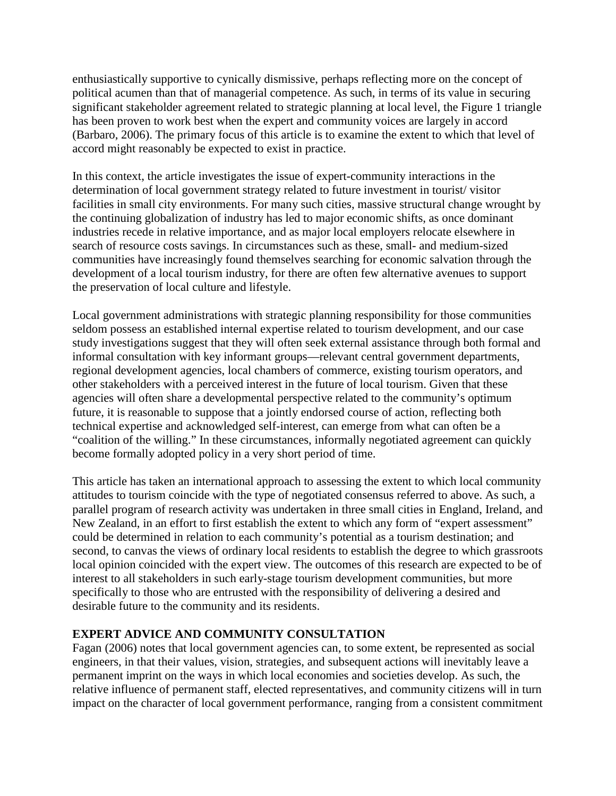enthusiastically supportive to cynically dismissive, perhaps reflecting more on the concept of political acumen than that of managerial competence. As such, in terms of its value in securing significant stakeholder agreement related to strategic planning at local level, the Figure 1 triangle has been proven to work best when the expert and community voices are largely in accord (Barbaro, 2006). The primary focus of this article is to examine the extent to which that level of accord might reasonably be expected to exist in practice.

In this context, the article investigates the issue of expert-community interactions in the determination of local government strategy related to future investment in tourist/ visitor facilities in small city environments. For many such cities, massive structural change wrought by the continuing globalization of industry has led to major economic shifts, as once dominant industries recede in relative importance, and as major local employers relocate elsewhere in search of resource costs savings. In circumstances such as these, small- and medium-sized communities have increasingly found themselves searching for economic salvation through the development of a local tourism industry, for there are often few alternative avenues to support the preservation of local culture and lifestyle.

Local government administrations with strategic planning responsibility for those communities seldom possess an established internal expertise related to tourism development, and our case study investigations suggest that they will often seek external assistance through both formal and informal consultation with key informant groups—relevant central government departments, regional development agencies, local chambers of commerce, existing tourism operators, and other stakeholders with a perceived interest in the future of local tourism. Given that these agencies will often share a developmental perspective related to the community's optimum future, it is reasonable to suppose that a jointly endorsed course of action, reflecting both technical expertise and acknowledged self-interest, can emerge from what can often be a "coalition of the willing." In these circumstances, informally negotiated agreement can quickly become formally adopted policy in a very short period of time.

This article has taken an international approach to assessing the extent to which local community attitudes to tourism coincide with the type of negotiated consensus referred to above. As such, a parallel program of research activity was undertaken in three small cities in England, Ireland, and New Zealand, in an effort to first establish the extent to which any form of "expert assessment" could be determined in relation to each community's potential as a tourism destination; and second, to canvas the views of ordinary local residents to establish the degree to which grassroots local opinion coincided with the expert view. The outcomes of this research are expected to be of interest to all stakeholders in such early-stage tourism development communities, but more specifically to those who are entrusted with the responsibility of delivering a desired and desirable future to the community and its residents.

# **EXPERT ADVICE AND COMMUNITY CONSULTATION**

Fagan (2006) notes that local government agencies can, to some extent, be represented as social engineers, in that their values, vision, strategies, and subsequent actions will inevitably leave a permanent imprint on the ways in which local economies and societies develop. As such, the relative influence of permanent staff, elected representatives, and community citizens will in turn impact on the character of local government performance, ranging from a consistent commitment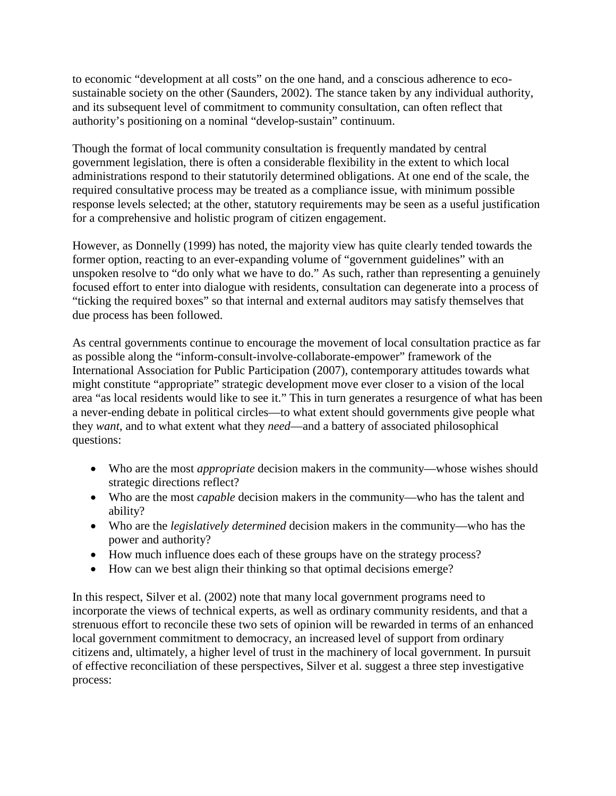to economic "development at all costs" on the one hand, and a conscious adherence to ecosustainable society on the other (Saunders, 2002). The stance taken by any individual authority, and its subsequent level of commitment to community consultation, can often reflect that authority's positioning on a nominal "develop-sustain" continuum.

Though the format of local community consultation is frequently mandated by central government legislation, there is often a considerable flexibility in the extent to which local administrations respond to their statutorily determined obligations. At one end of the scale, the required consultative process may be treated as a compliance issue, with minimum possible response levels selected; at the other, statutory requirements may be seen as a useful justification for a comprehensive and holistic program of citizen engagement.

However, as Donnelly (1999) has noted, the majority view has quite clearly tended towards the former option, reacting to an ever-expanding volume of "government guidelines" with an unspoken resolve to "do only what we have to do." As such, rather than representing a genuinely focused effort to enter into dialogue with residents, consultation can degenerate into a process of "ticking the required boxes" so that internal and external auditors may satisfy themselves that due process has been followed.

As central governments continue to encourage the movement of local consultation practice as far as possible along the "inform-consult-involve-collaborate-empower" framework of the International Association for Public Participation (2007), contemporary attitudes towards what might constitute "appropriate" strategic development move ever closer to a vision of the local area "as local residents would like to see it." This in turn generates a resurgence of what has been a never-ending debate in political circles—to what extent should governments give people what they *want*, and to what extent what they *need*—and a battery of associated philosophical questions:

- Who are the most *appropriate* decision makers in the community—whose wishes should strategic directions reflect?
- Who are the most *capable* decision makers in the community—who has the talent and ability?
- Who are the *legislatively determined* decision makers in the community—who has the power and authority?
- How much influence does each of these groups have on the strategy process?
- How can we best align their thinking so that optimal decisions emerge?

In this respect, Silver et al. (2002) note that many local government programs need to incorporate the views of technical experts, as well as ordinary community residents, and that a strenuous effort to reconcile these two sets of opinion will be rewarded in terms of an enhanced local government commitment to democracy, an increased level of support from ordinary citizens and, ultimately, a higher level of trust in the machinery of local government. In pursuit of effective reconciliation of these perspectives, Silver et al. suggest a three step investigative process: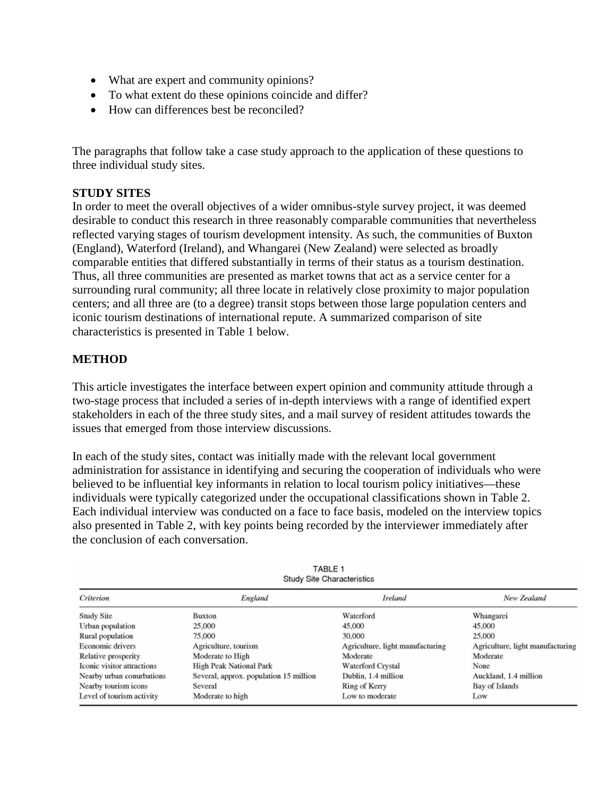- What are expert and community opinions?
- To what extent do these opinions coincide and differ?
- How can differences best be reconciled?

The paragraphs that follow take a case study approach to the application of these questions to three individual study sites.

#### **STUDY SITES**

In order to meet the overall objectives of a wider omnibus-style survey project, it was deemed desirable to conduct this research in three reasonably comparable communities that nevertheless reflected varying stages of tourism development intensity. As such, the communities of Buxton (England), Waterford (Ireland), and Whangarei (New Zealand) were selected as broadly comparable entities that differed substantially in terms of their status as a tourism destination. Thus, all three communities are presented as market towns that act as a service center for a surrounding rural community; all three locate in relatively close proximity to major population centers; and all three are (to a degree) transit stops between those large population centers and iconic tourism destinations of international repute. A summarized comparison of site characteristics is presented in Table 1 below.

#### **METHOD**

This article investigates the interface between expert opinion and community attitude through a two-stage process that included a series of in-depth interviews with a range of identified expert stakeholders in each of the three study sites, and a mail survey of resident attitudes towards the issues that emerged from those interview discussions.

In each of the study sites, contact was initially made with the relevant local government administration for assistance in identifying and securing the cooperation of individuals who were believed to be influential key informants in relation to local tourism policy initiatives—these individuals were typically categorized under the occupational classifications shown in Table 2. Each individual interview was conducted on a face to face basis, modeled on the interview topics also presented in Table 2, with key points being recorded by the interviewer immediately after the conclusion of each conversation.

| TABLE 1<br><b>Study Site Characteristics</b> |                                        |                                  |                                  |  |
|----------------------------------------------|----------------------------------------|----------------------------------|----------------------------------|--|
| Criterion                                    | England                                | Ireland                          | New Zealand                      |  |
| <b>Study Site</b>                            | Buxton                                 | Waterford                        | Whangarei                        |  |
| Urban population                             | 25,000                                 | 45,000                           | 45,000                           |  |
| Rural population                             | 75,000                                 | 30,000                           | 25,000                           |  |
| Economic drivers                             | Agriculture, tourism                   | Agriculture, light manufacturing | Agriculture, light manufacturing |  |
| Relative prosperity                          | Moderate to High                       | Moderate                         | Moderate                         |  |
| Iconic visitor attractions                   | High Peak National Park                | Waterford Crystal                | None                             |  |
| Nearby urban conurbations                    | Several, approx. population 15 million | Dublin, 1.4 million              | Auckland, 1.4 million            |  |
| Nearby tourism icons                         | Several                                | Ring of Kerry                    | Bay of Islands                   |  |
| Level of tourism activity                    | Moderate to high                       | Low to moderate                  | Low                              |  |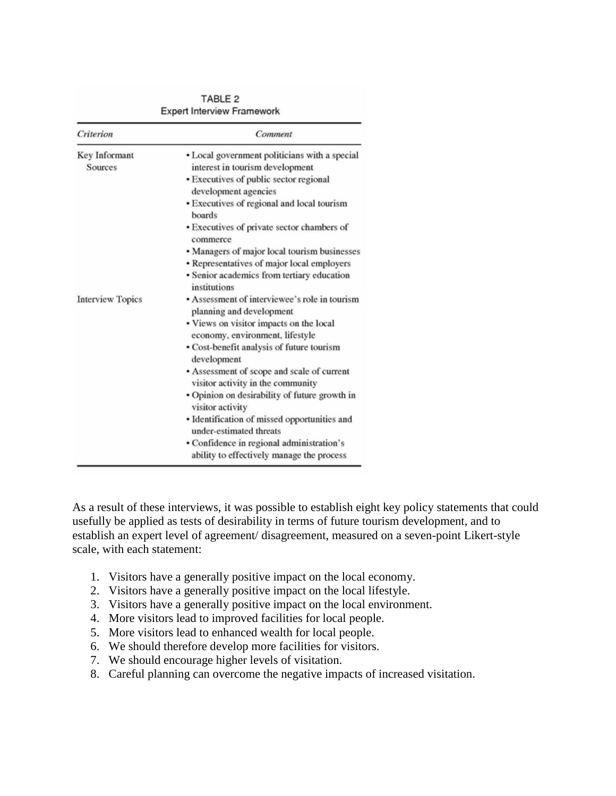| Criterion               | Comment                                                                                |  |  |
|-------------------------|----------------------------------------------------------------------------------------|--|--|
| Key Informant           | • Local government politicians with a special                                          |  |  |
| Sources                 | interest in tourism development                                                        |  |  |
|                         | • Executives of public sector regional<br>development agencies                         |  |  |
|                         | · Executives of regional and local tourism<br>boards                                   |  |  |
|                         | • Executives of private sector chambers of<br>commerce                                 |  |  |
|                         | • Managers of major local tourism businesses                                           |  |  |
|                         | · Representatives of major local employers                                             |  |  |
|                         | · Senior academics from tertiary education<br>institutions                             |  |  |
| <b>Interview Topics</b> | • Assessment of interviewee's role in tourism                                          |  |  |
|                         | planning and development                                                               |  |  |
|                         | • Views on visitor impacts on the local                                                |  |  |
|                         | economy, environment, lifestyle                                                        |  |  |
|                         | • Cost-benefit analysis of future tourism<br>development                               |  |  |
|                         | • Assessment of scope and scale of current<br>visitor activity in the community        |  |  |
|                         | · Opinion on desirability of future growth in<br>visitor activity                      |  |  |
|                         | · Identification of missed opportunities and<br>under-estimated threats                |  |  |
|                         | • Confidence in regional administration's<br>ability to effectively manage the process |  |  |

TABLE<sub>2</sub> **Expert Interview Framework** 

As a result of these interviews, it was possible to establish eight key policy statements that could usefully be applied as tests of desirability in terms of future tourism development, and to establish an expert level of agreement/ disagreement, measured on a seven-point Likert-style scale, with each statement:

- 1. Visitors have a generally positive impact on the local economy.
- 2. Visitors have a generally positive impact on the local lifestyle.
- 3. Visitors have a generally positive impact on the local environment.
- 4. More visitors lead to improved facilities for local people.
- 5. More visitors lead to enhanced wealth for local people.
- 6. We should therefore develop more facilities for visitors.
- 7. We should encourage higher levels of visitation.
- 8. Careful planning can overcome the negative impacts of increased visitation.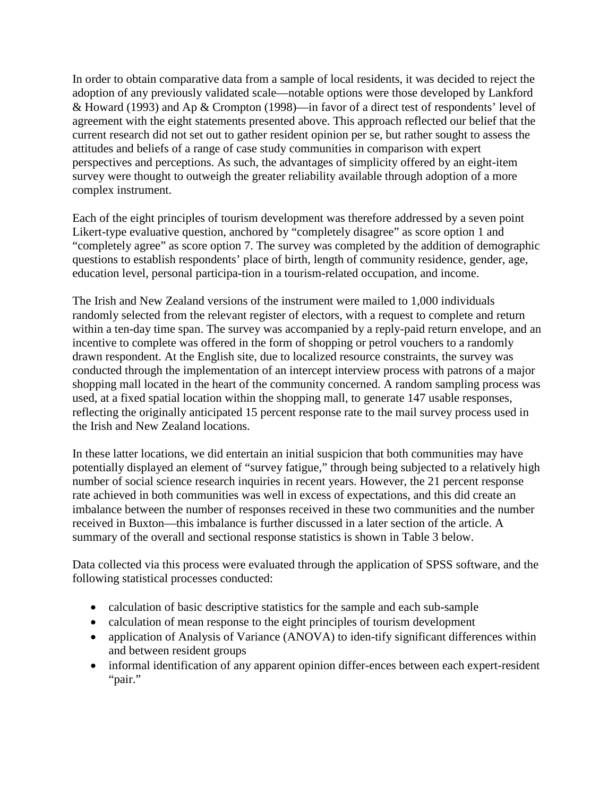In order to obtain comparative data from a sample of local residents, it was decided to reject the adoption of any previously validated scale—notable options were those developed by Lankford & Howard (1993) and Ap & Crompton (1998)—in favor of a direct test of respondents' level of agreement with the eight statements presented above. This approach reflected our belief that the current research did not set out to gather resident opinion per se, but rather sought to assess the attitudes and beliefs of a range of case study communities in comparison with expert perspectives and perceptions. As such, the advantages of simplicity offered by an eight-item survey were thought to outweigh the greater reliability available through adoption of a more complex instrument.

Each of the eight principles of tourism development was therefore addressed by a seven point Likert-type evaluative question, anchored by "completely disagree" as score option 1 and "completely agree" as score option 7. The survey was completed by the addition of demographic questions to establish respondents' place of birth, length of community residence, gender, age, education level, personal participa-tion in a tourism-related occupation, and income.

The Irish and New Zealand versions of the instrument were mailed to 1,000 individuals randomly selected from the relevant register of electors, with a request to complete and return within a ten-day time span. The survey was accompanied by a reply-paid return envelope, and an incentive to complete was offered in the form of shopping or petrol vouchers to a randomly drawn respondent. At the English site, due to localized resource constraints, the survey was conducted through the implementation of an intercept interview process with patrons of a major shopping mall located in the heart of the community concerned. A random sampling process was used, at a fixed spatial location within the shopping mall, to generate 147 usable responses, reflecting the originally anticipated 15 percent response rate to the mail survey process used in the Irish and New Zealand locations.

In these latter locations, we did entertain an initial suspicion that both communities may have potentially displayed an element of "survey fatigue," through being subjected to a relatively high number of social science research inquiries in recent years. However, the 21 percent response rate achieved in both communities was well in excess of expectations, and this did create an imbalance between the number of responses received in these two communities and the number received in Buxton—this imbalance is further discussed in a later section of the article. A summary of the overall and sectional response statistics is shown in Table 3 below.

Data collected via this process were evaluated through the application of SPSS software, and the following statistical processes conducted:

- calculation of basic descriptive statistics for the sample and each sub-sample
- calculation of mean response to the eight principles of tourism development
- application of Analysis of Variance (ANOVA) to iden-tify significant differences within and between resident groups
- informal identification of any apparent opinion differ-ences between each expert-resident "pair."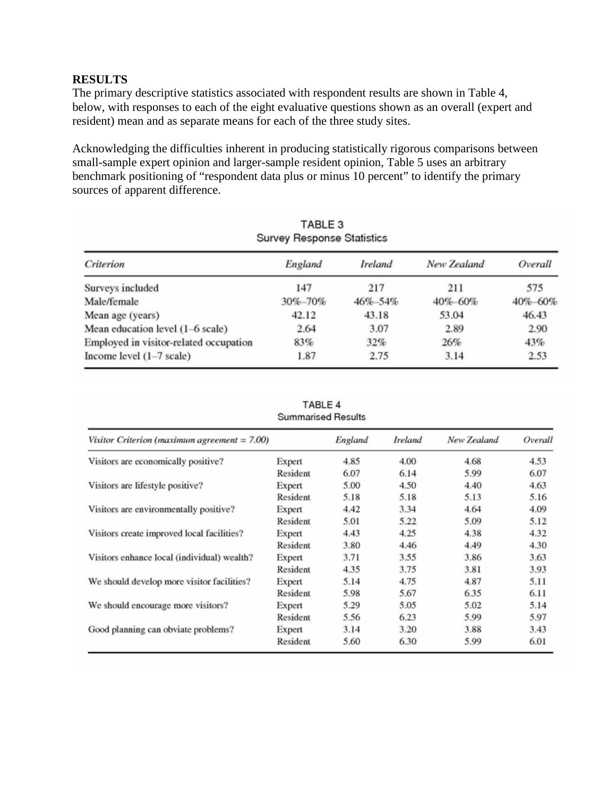# **RESULTS**

The primary descriptive statistics associated with respondent results are shown in Table 4, below, with responses to each of the eight evaluative questions shown as an overall (expert and resident) mean and as separate means for each of the three study sites.

Acknowledging the difficulties inherent in producing statistically rigorous comparisons between small-sample expert opinion and larger-sample resident opinion, Table 5 uses an arbitrary benchmark positioning of "respondent data plus or minus 10 percent" to identify the primary sources of apparent difference.

| Criterion                              | England | Ireland | New Zealand | Overall |
|----------------------------------------|---------|---------|-------------|---------|
| Surveys included                       | 147     | 217     | 211         | 575     |
| Male/female                            | 30%-70% | 46%-54% | 40%-60%     | 40%-60% |
| Mean age (years)                       | 42.12   | 43.18   | 53.04       | 46.43   |
| Mean education level (1–6 scale)       | 2.64    | 3.07    | 2.89        | 2.90    |
| Employed in visitor-related occupation | 83%     | 32%     | 26%         | 43%     |
| Income level $(1-7 \text{ scale})$     | 1.87    | 2.75    | 3.14        | 2.53    |

#### TABLE 4 **Summarised Results**

| Visitor Criterion (maximum agreement = 7.00) |          | England | Ireland | New Zealand | Overall |
|----------------------------------------------|----------|---------|---------|-------------|---------|
| Visitors are economically positive?          | Expert   | 4.85    | 4.00    | 4.68        | 4.53    |
|                                              | Resident | 6.07    | 6.14    | 5.99        | 6.07    |
| Visitors are lifestyle positive?             | Expert   | 5.00    | 4.50    | 4.40        | 4.63    |
|                                              | Resident | 5.18    | 5.18    | 5.13        | 5.16    |
| Visitors are environmentally positive?       | Expert   | 4.42    | 3.34    | 4.64        | 4.09    |
|                                              | Resident | 5.01    | 5.22    | 5.09        | 5.12    |
| Visitors create improved local facilities?   | Expert   | 4.43    | 4.25    | 4.38        | 4.32    |
|                                              | Resident | 3.80    | 4.46    | 4.49        | 4.30    |
| Visitors enhance local (individual) wealth?  | Expert   | 3.71    | 3.55    | 3.86        | 3.63    |
|                                              | Resident | 4.35    | 3.75    | 3.81        | 3.93    |
| We should develop more visitor facilities?   | Expert   | 5.14    | 4.75    | 4.87        | 5.11    |
|                                              | Resident | 5.98    | 5.67    | 6.35        | 6.11    |
| We should encourage more visitors?           | Expert   | 5.29    | 5.05    | 5.02        | 5.14    |
|                                              | Resident | 5.56    | 6.23    | 5.99        | 5.97    |
| Good planning can obviate problems?          | Expert   | 3.14    | 3.20    | 3.88        | 3.43    |
|                                              | Resident | 5.60    | 6.30    | 5.99        | 6.01    |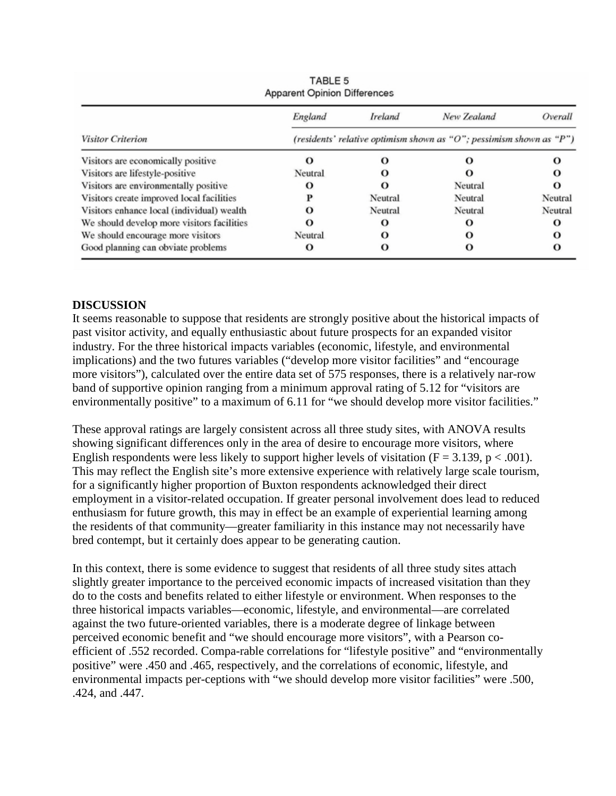|                                            | England                                                             | Ireland | New Zealand | Overall |  |
|--------------------------------------------|---------------------------------------------------------------------|---------|-------------|---------|--|
| <b>Visitor Criterion</b>                   | (residents' relative optimism shown as "O"; pessimism shown as "P") |         |             |         |  |
| Visitors are economically positive         | $\Omega$                                                            | О       |             |         |  |
| Visitors are lifestyle-positive            | Neutral                                                             | o       |             |         |  |
| Visitors are environmentally positive      | $\Omega$                                                            | О       | Neutral     | o       |  |
| Visitors create improved local facilities  |                                                                     | Neutral | Neutral     | Neutral |  |
| Visitors enhance local (individual) wealth |                                                                     | Neutral | Neutral     | Neutral |  |
| We should develop more visitors facilities |                                                                     | О       | O           | о       |  |
| We should encourage more visitors          | Neutral                                                             | О       | O           | o       |  |
| Good planning can obviate problems         | О                                                                   | О       | O           |         |  |

TABLE 5

# **DISCUSSION**

It seems reasonable to suppose that residents are strongly positive about the historical impacts of past visitor activity, and equally enthusiastic about future prospects for an expanded visitor industry. For the three historical impacts variables (economic, lifestyle, and environmental implications) and the two futures variables ("develop more visitor facilities" and "encourage more visitors"), calculated over the entire data set of 575 responses, there is a relatively nar-row band of supportive opinion ranging from a minimum approval rating of 5.12 for "visitors are environmentally positive" to a maximum of 6.11 for "we should develop more visitor facilities."

These approval ratings are largely consistent across all three study sites, with ANOVA results showing significant differences only in the area of desire to encourage more visitors, where English respondents were less likely to support higher levels of visitation  $(F = 3.139, p < .001)$ . This may reflect the English site's more extensive experience with relatively large scale tourism, for a significantly higher proportion of Buxton respondents acknowledged their direct employment in a visitor-related occupation. If greater personal involvement does lead to reduced enthusiasm for future growth, this may in effect be an example of experiential learning among the residents of that community—greater familiarity in this instance may not necessarily have bred contempt, but it certainly does appear to be generating caution.

In this context, there is some evidence to suggest that residents of all three study sites attach slightly greater importance to the perceived economic impacts of increased visitation than they do to the costs and benefits related to either lifestyle or environment. When responses to the three historical impacts variables—economic, lifestyle, and environmental—are correlated against the two future-oriented variables, there is a moderate degree of linkage between perceived economic benefit and "we should encourage more visitors", with a Pearson coefficient of .552 recorded. Compa-rable correlations for "lifestyle positive" and "environmentally positive" were .450 and .465, respectively, and the correlations of economic, lifestyle, and environmental impacts per-ceptions with "we should develop more visitor facilities" were .500, .424, and .447.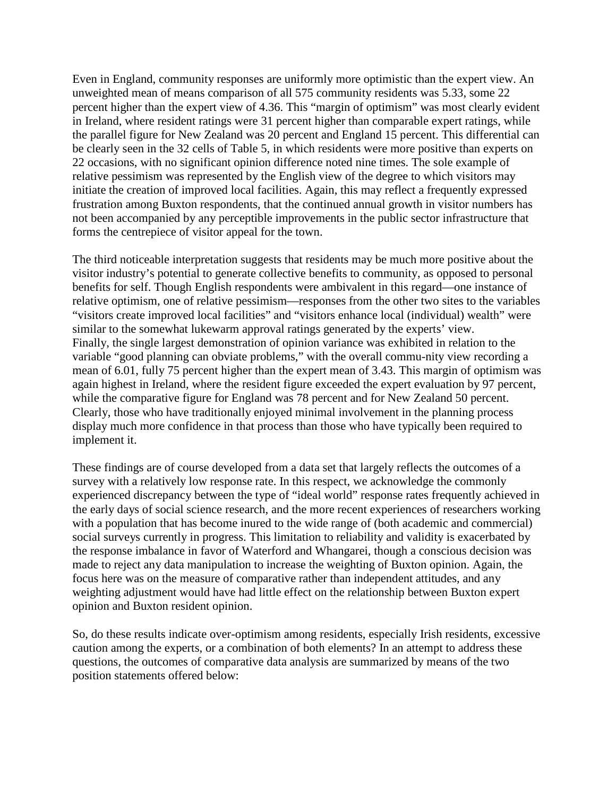Even in England, community responses are uniformly more optimistic than the expert view. An unweighted mean of means comparison of all 575 community residents was 5.33, some 22 percent higher than the expert view of 4.36. This "margin of optimism" was most clearly evident in Ireland, where resident ratings were 31 percent higher than comparable expert ratings, while the parallel figure for New Zealand was 20 percent and England 15 percent. This differential can be clearly seen in the 32 cells of Table 5, in which residents were more positive than experts on 22 occasions, with no significant opinion difference noted nine times. The sole example of relative pessimism was represented by the English view of the degree to which visitors may initiate the creation of improved local facilities. Again, this may reflect a frequently expressed frustration among Buxton respondents, that the continued annual growth in visitor numbers has not been accompanied by any perceptible improvements in the public sector infrastructure that forms the centrepiece of visitor appeal for the town.

The third noticeable interpretation suggests that residents may be much more positive about the visitor industry's potential to generate collective benefits to community, as opposed to personal benefits for self. Though English respondents were ambivalent in this regard—one instance of relative optimism, one of relative pessimism—responses from the other two sites to the variables "visitors create improved local facilities" and "visitors enhance local (individual) wealth" were similar to the somewhat lukewarm approval ratings generated by the experts' view. Finally, the single largest demonstration of opinion variance was exhibited in relation to the variable "good planning can obviate problems," with the overall commu-nity view recording a mean of 6.01, fully 75 percent higher than the expert mean of 3.43. This margin of optimism was again highest in Ireland, where the resident figure exceeded the expert evaluation by 97 percent, while the comparative figure for England was 78 percent and for New Zealand 50 percent. Clearly, those who have traditionally enjoyed minimal involvement in the planning process display much more confidence in that process than those who have typically been required to implement it.

These findings are of course developed from a data set that largely reflects the outcomes of a survey with a relatively low response rate. In this respect, we acknowledge the commonly experienced discrepancy between the type of "ideal world" response rates frequently achieved in the early days of social science research, and the more recent experiences of researchers working with a population that has become inured to the wide range of (both academic and commercial) social surveys currently in progress. This limitation to reliability and validity is exacerbated by the response imbalance in favor of Waterford and Whangarei, though a conscious decision was made to reject any data manipulation to increase the weighting of Buxton opinion. Again, the focus here was on the measure of comparative rather than independent attitudes, and any weighting adjustment would have had little effect on the relationship between Buxton expert opinion and Buxton resident opinion.

So, do these results indicate over-optimism among residents, especially Irish residents, excessive caution among the experts, or a combination of both elements? In an attempt to address these questions, the outcomes of comparative data analysis are summarized by means of the two position statements offered below: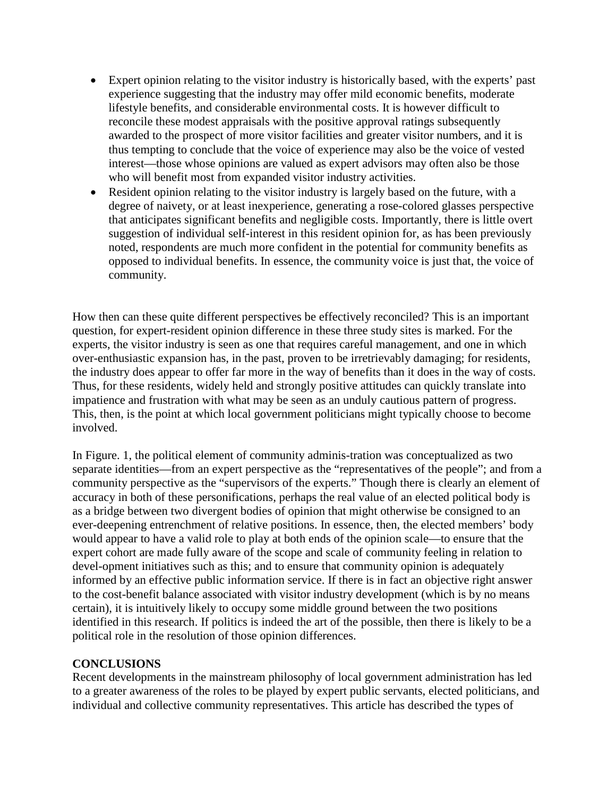- Expert opinion relating to the visitor industry is historically based, with the experts' past experience suggesting that the industry may offer mild economic benefits, moderate lifestyle benefits, and considerable environmental costs. It is however difficult to reconcile these modest appraisals with the positive approval ratings subsequently awarded to the prospect of more visitor facilities and greater visitor numbers, and it is thus tempting to conclude that the voice of experience may also be the voice of vested interest—those whose opinions are valued as expert advisors may often also be those who will benefit most from expanded visitor industry activities.
- Resident opinion relating to the visitor industry is largely based on the future, with a degree of naivety, or at least inexperience, generating a rose-colored glasses perspective that anticipates significant benefits and negligible costs. Importantly, there is little overt suggestion of individual self-interest in this resident opinion for, as has been previously noted, respondents are much more confident in the potential for community benefits as opposed to individual benefits. In essence, the community voice is just that, the voice of community.

How then can these quite different perspectives be effectively reconciled? This is an important question, for expert-resident opinion difference in these three study sites is marked. For the experts, the visitor industry is seen as one that requires careful management, and one in which over-enthusiastic expansion has, in the past, proven to be irretrievably damaging; for residents, the industry does appear to offer far more in the way of benefits than it does in the way of costs. Thus, for these residents, widely held and strongly positive attitudes can quickly translate into impatience and frustration with what may be seen as an unduly cautious pattern of progress. This, then, is the point at which local government politicians might typically choose to become involved.

In Figure. 1, the political element of community adminis-tration was conceptualized as two separate identities—from an expert perspective as the "representatives of the people"; and from a community perspective as the "supervisors of the experts." Though there is clearly an element of accuracy in both of these personifications, perhaps the real value of an elected political body is as a bridge between two divergent bodies of opinion that might otherwise be consigned to an ever-deepening entrenchment of relative positions. In essence, then, the elected members' body would appear to have a valid role to play at both ends of the opinion scale—to ensure that the expert cohort are made fully aware of the scope and scale of community feeling in relation to devel-opment initiatives such as this; and to ensure that community opinion is adequately informed by an effective public information service. If there is in fact an objective right answer to the cost-benefit balance associated with visitor industry development (which is by no means certain), it is intuitively likely to occupy some middle ground between the two positions identified in this research. If politics is indeed the art of the possible, then there is likely to be a political role in the resolution of those opinion differences.

# **CONCLUSIONS**

Recent developments in the mainstream philosophy of local government administration has led to a greater awareness of the roles to be played by expert public servants, elected politicians, and individual and collective community representatives. This article has described the types of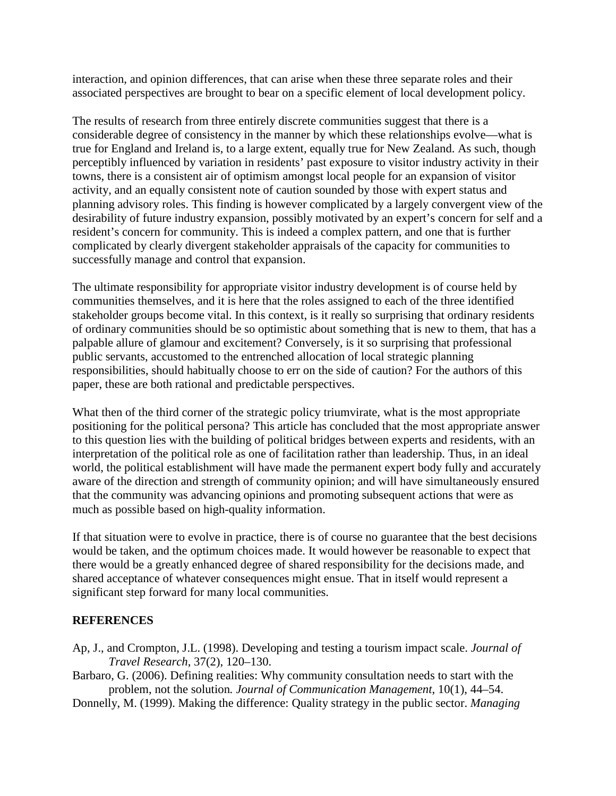interaction, and opinion differences, that can arise when these three separate roles and their associated perspectives are brought to bear on a specific element of local development policy.

The results of research from three entirely discrete communities suggest that there is a considerable degree of consistency in the manner by which these relationships evolve—what is true for England and Ireland is, to a large extent, equally true for New Zealand. As such, though perceptibly influenced by variation in residents' past exposure to visitor industry activity in their towns, there is a consistent air of optimism amongst local people for an expansion of visitor activity, and an equally consistent note of caution sounded by those with expert status and planning advisory roles. This finding is however complicated by a largely convergent view of the desirability of future industry expansion, possibly motivated by an expert's concern for self and a resident's concern for community. This is indeed a complex pattern, and one that is further complicated by clearly divergent stakeholder appraisals of the capacity for communities to successfully manage and control that expansion.

The ultimate responsibility for appropriate visitor industry development is of course held by communities themselves, and it is here that the roles assigned to each of the three identified stakeholder groups become vital. In this context, is it really so surprising that ordinary residents of ordinary communities should be so optimistic about something that is new to them, that has a palpable allure of glamour and excitement? Conversely, is it so surprising that professional public servants, accustomed to the entrenched allocation of local strategic planning responsibilities, should habitually choose to err on the side of caution? For the authors of this paper, these are both rational and predictable perspectives.

What then of the third corner of the strategic policy triumvirate, what is the most appropriate positioning for the political persona? This article has concluded that the most appropriate answer to this question lies with the building of political bridges between experts and residents, with an interpretation of the political role as one of facilitation rather than leadership. Thus, in an ideal world, the political establishment will have made the permanent expert body fully and accurately aware of the direction and strength of community opinion; and will have simultaneously ensured that the community was advancing opinions and promoting subsequent actions that were as much as possible based on high-quality information.

If that situation were to evolve in practice, there is of course no guarantee that the best decisions would be taken, and the optimum choices made. It would however be reasonable to expect that there would be a greatly enhanced degree of shared responsibility for the decisions made, and shared acceptance of whatever consequences might ensue. That in itself would represent a significant step forward for many local communities.

# **REFERENCES**

- Ap, J., and Crompton, J.L. (1998). Developing and testing a tourism impact scale. *Journal of Travel Research*, 37(2), 120–130.
- Barbaro, G. (2006). Defining realities: Why community consultation needs to start with the problem, not the solution*. Journal of Communication Management*, 10(1), 44–54.

Donnelly, M. (1999). Making the difference: Quality strategy in the public sector. *Managing*